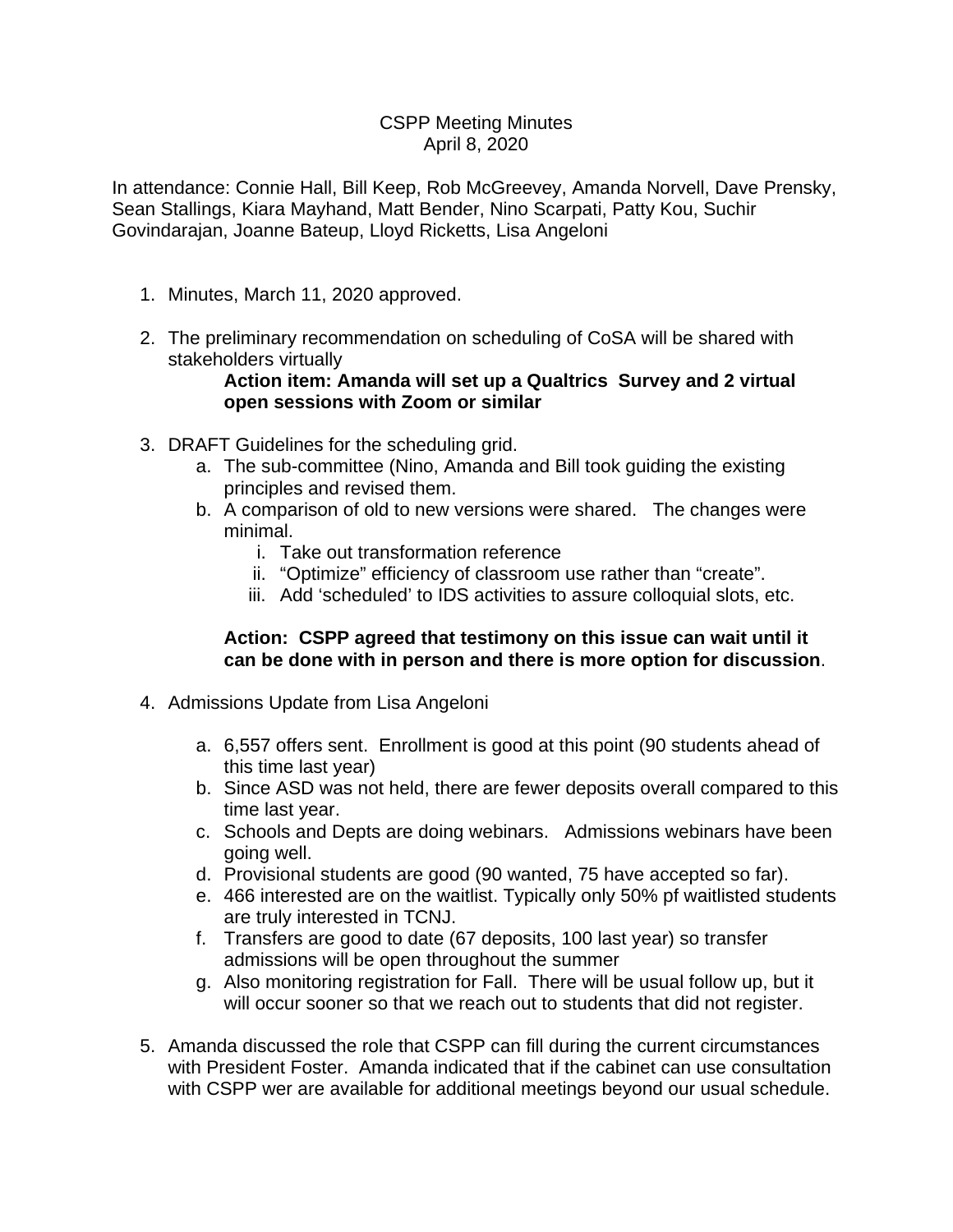### CSPP Meeting Minutes April 8, 2020

In attendance: Connie Hall, Bill Keep, Rob McGreevey, Amanda Norvell, Dave Prensky, Sean Stallings, Kiara Mayhand, Matt Bender, Nino Scarpati, Patty Kou, Suchir Govindarajan, Joanne Bateup, Lloyd Ricketts, Lisa Angeloni

- 1. Minutes, March 11, 2020 approved.
- 2. The preliminary recommendation on scheduling of CoSA will be shared with stakeholders virtually

## **Action item: Amanda will set up a Qualtrics Survey and 2 virtual open sessions with Zoom or similar**

- 3. DRAFT Guidelines for the scheduling grid.
	- a. The sub-committee (Nino, Amanda and Bill took guiding the existing principles and revised them.
	- b. A comparison of old to new versions were shared. The changes were minimal.
		- i. Take out transformation reference
		- ii. "Optimize" efficiency of classroom use rather than "create".
		- iii. Add 'scheduled' to IDS activities to assure colloquial slots, etc.

#### **Action: CSPP agreed that testimony on this issue can wait until it can be done with in person and there is more option for discussion**.

- 4. Admissions Update from Lisa Angeloni
	- a. 6,557 offers sent. Enrollment is good at this point (90 students ahead of this time last year)
	- b. Since ASD was not held, there are fewer deposits overall compared to this time last year.
	- c. Schools and Depts are doing webinars. Admissions webinars have been going well.
	- d. Provisional students are good (90 wanted, 75 have accepted so far).
	- e. 466 interested are on the waitlist. Typically only 50% pf waitlisted students are truly interested in TCNJ.
	- f. Transfers are good to date (67 deposits, 100 last year) so transfer admissions will be open throughout the summer
	- g. Also monitoring registration for Fall. There will be usual follow up, but it will occur sooner so that we reach out to students that did not register.
- 5. Amanda discussed the role that CSPP can fill during the current circumstances with President Foster. Amanda indicated that if the cabinet can use consultation with CSPP wer are available for additional meetings beyond our usual schedule.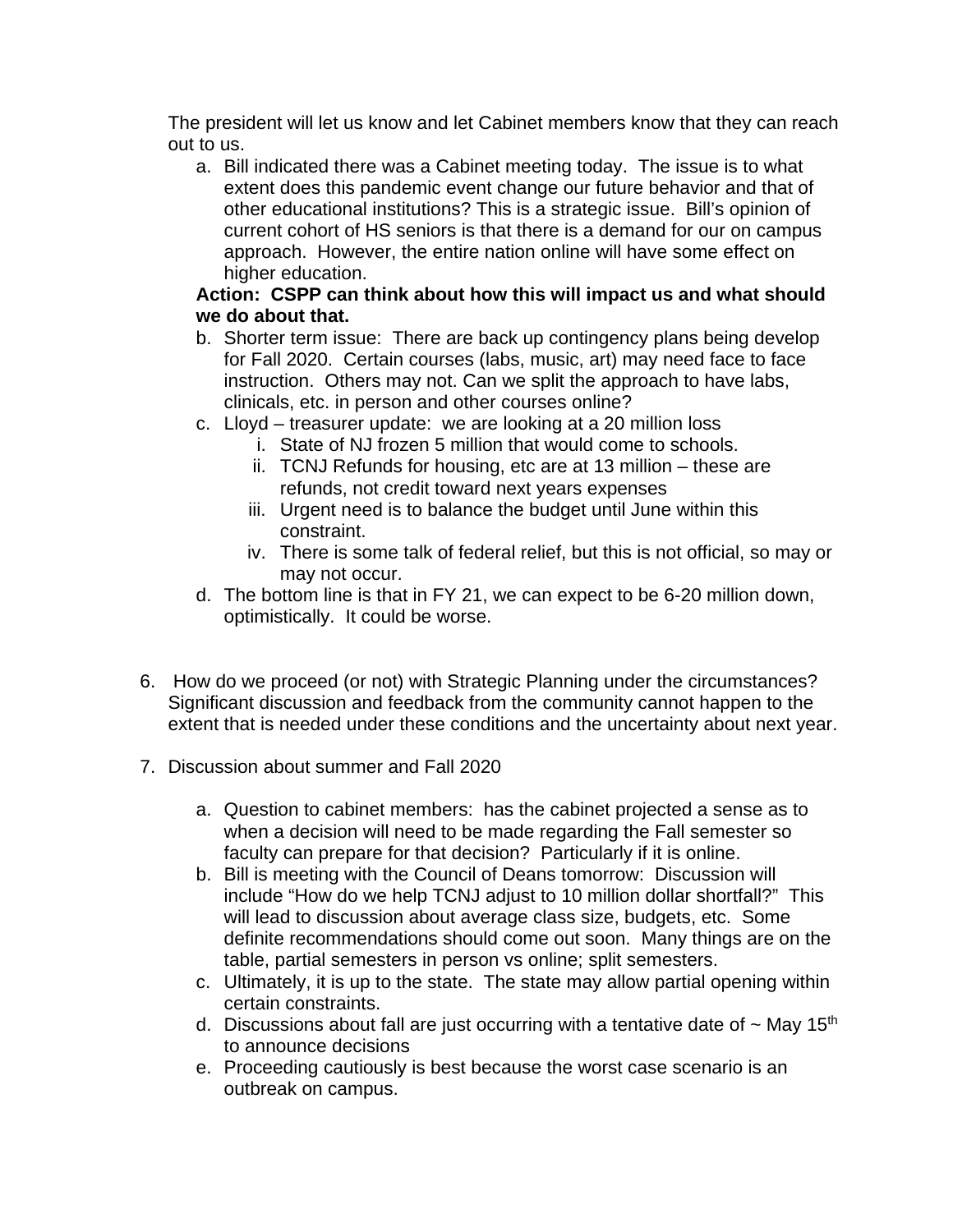The president will let us know and let Cabinet members know that they can reach out to us.

a. Bill indicated there was a Cabinet meeting today. The issue is to what extent does this pandemic event change our future behavior and that of other educational institutions? This is a strategic issue. Bill's opinion of current cohort of HS seniors is that there is a demand for our on campus approach. However, the entire nation online will have some effect on higher education.

# **Action: CSPP can think about how this will impact us and what should we do about that.**

- b. Shorter term issue: There are back up contingency plans being develop for Fall 2020. Certain courses (labs, music, art) may need face to face instruction. Others may not. Can we split the approach to have labs, clinicals, etc. in person and other courses online?
- c. Lloyd treasurer update: we are looking at a 20 million loss
	- i. State of NJ frozen 5 million that would come to schools.
	- ii. TCNJ Refunds for housing, etc are at 13 million these are refunds, not credit toward next years expenses
	- iii. Urgent need is to balance the budget until June within this constraint.
	- iv. There is some talk of federal relief, but this is not official, so may or may not occur.
- d. The bottom line is that in FY 21, we can expect to be 6-20 million down, optimistically. It could be worse.
- 6. How do we proceed (or not) with Strategic Planning under the circumstances? Significant discussion and feedback from the community cannot happen to the extent that is needed under these conditions and the uncertainty about next year.
- 7. Discussion about summer and Fall 2020
	- a. Question to cabinet members: has the cabinet projected a sense as to when a decision will need to be made regarding the Fall semester so faculty can prepare for that decision? Particularly if it is online.
	- b. Bill is meeting with the Council of Deans tomorrow: Discussion will include "How do we help TCNJ adjust to 10 million dollar shortfall?" This will lead to discussion about average class size, budgets, etc. Some definite recommendations should come out soon. Many things are on the table, partial semesters in person vs online; split semesters.
	- c. Ultimately, it is up to the state. The state may allow partial opening within certain constraints.
	- d. Discussions about fall are just occurring with a tentative date of  $\sim$  May 15<sup>th</sup> to announce decisions
	- e. Proceeding cautiously is best because the worst case scenario is an outbreak on campus.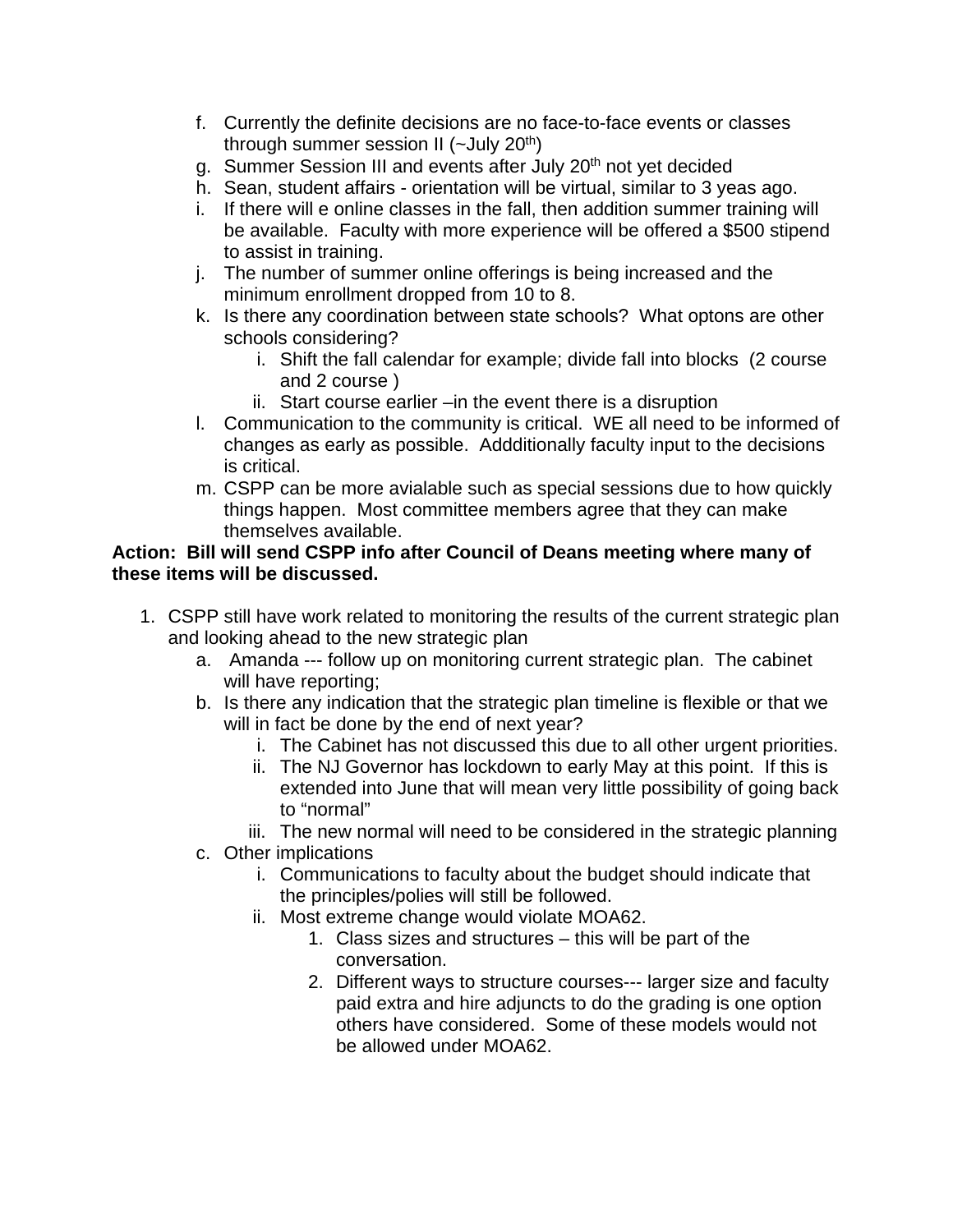- f. Currently the definite decisions are no face-to-face events or classes through summer session II ( $\sim$ July 20<sup>th</sup>)
- g. Summer Session III and events after July 20<sup>th</sup> not yet decided
- h. Sean, student affairs orientation will be virtual, similar to 3 yeas ago.
- i. If there will e online classes in the fall, then addition summer training will be available. Faculty with more experience will be offered a \$500 stipend to assist in training.
- j. The number of summer online offerings is being increased and the minimum enrollment dropped from 10 to 8.
- k. Is there any coordination between state schools? What optons are other schools considering?
	- i. Shift the fall calendar for example; divide fall into blocks (2 course and 2 course )
	- ii. Start course earlier –in the event there is a disruption
- l. Communication to the community is critical. WE all need to be informed of changes as early as possible. Addditionally faculty input to the decisions is critical.
- m. CSPP can be more avialable such as special sessions due to how quickly things happen. Most committee members agree that they can make themselves available.

## **Action: Bill will send CSPP info after Council of Deans meeting where many of these items will be discussed.**

- 1. CSPP still have work related to monitoring the results of the current strategic plan and looking ahead to the new strategic plan
	- a. Amanda --- follow up on monitoring current strategic plan. The cabinet will have reporting;
	- b. Is there any indication that the strategic plan timeline is flexible or that we will in fact be done by the end of next year?
		- i. The Cabinet has not discussed this due to all other urgent priorities.
		- ii. The NJ Governor has lockdown to early May at this point. If this is extended into June that will mean very little possibility of going back to "normal"
		- iii. The new normal will need to be considered in the strategic planning
	- c. Other implications
		- i. Communications to faculty about the budget should indicate that the principles/polies will still be followed.
		- ii. Most extreme change would violate MOA62.
			- 1. Class sizes and structures this will be part of the conversation.
			- 2. Different ways to structure courses--- larger size and faculty paid extra and hire adjuncts to do the grading is one option others have considered. Some of these models would not be allowed under MOA62.